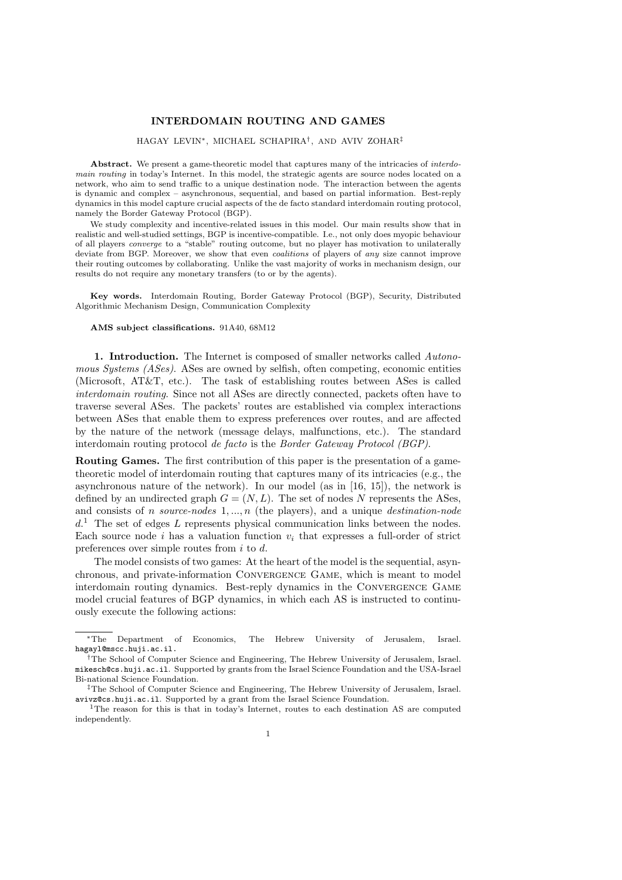## INTERDOMAIN ROUTING AND GAMES

### HAGAY LEVIN∗, MICHAEL SCHAPIRA† , AND AVIV ZOHAR‡

Abstract. We present a game-theoretic model that captures many of the intricacies of *interdo*main routing in today's Internet. In this model, the strategic agents are source nodes located on a network, who aim to send traffic to a unique destination node. The interaction between the agents is dynamic and complex – asynchronous, sequential, and based on partial information. Best-reply dynamics in this model capture crucial aspects of the de facto standard interdomain routing protocol, namely the Border Gateway Protocol (BGP).

We study complexity and incentive-related issues in this model. Our main results show that in realistic and well-studied settings, BGP is incentive-compatible. I.e., not only does myopic behaviour of all players converge to a "stable" routing outcome, but no player has motivation to unilaterally deviate from BGP. Moreover, we show that even *coalitions* of players of *any* size cannot improve their routing outcomes by collaborating. Unlike the vast majority of works in mechanism design, our results do not require any monetary transfers (to or by the agents).

Key words. Interdomain Routing, Border Gateway Protocol (BGP), Security, Distributed Algorithmic Mechanism Design, Communication Complexity

#### AMS subject classifications. 91A40, 68M12

1. Introduction. The Internet is composed of smaller networks called Autonomous Systems (ASes). ASes are owned by selfish, often competing, economic entities (Microsoft, AT&T, etc.). The task of establishing routes between ASes is called interdomain routing. Since not all ASes are directly connected, packets often have to traverse several ASes. The packets' routes are established via complex interactions between ASes that enable them to express preferences over routes, and are affected by the nature of the network (message delays, malfunctions, etc.). The standard interdomain routing protocol de facto is the Border Gateway Protocol (BGP).

Routing Games. The first contribution of this paper is the presentation of a gametheoretic model of interdomain routing that captures many of its intricacies (e.g., the asynchronous nature of the network). In our model (as in [16, 15]), the network is defined by an undirected graph  $G = (N, L)$ . The set of nodes N represents the ASes, and consists of  $n$  source-nodes  $1, ..., n$  (the players), and a unique *destination-node*  $d<sup>1</sup>$ . The set of edges L represents physical communication links between the nodes. Each source node i has a valuation function  $v_i$  that expresses a full-order of strict preferences over simple routes from i to d.

The model consists of two games: At the heart of the model is the sequential, asynchronous, and private-information Convergence Game, which is meant to model interdomain routing dynamics. Best-reply dynamics in the Convergence Game model crucial features of BGP dynamics, in which each AS is instructed to continuously execute the following actions:

<sup>∗</sup>The Department of Economics, The Hebrew University of Jerusalem, Israel. hagayl@mscc.huji.ac.il.

<sup>†</sup>The School of Computer Science and Engineering, The Hebrew University of Jerusalem, Israel. mikesch@cs.huji.ac.il. Supported by grants from the Israel Science Foundation and the USA-Israel Bi-national Science Foundation.

<sup>‡</sup>The School of Computer Science and Engineering, The Hebrew University of Jerusalem, Israel. avivz@cs.huji.ac.il. Supported by a grant from the Israel Science Foundation.

<sup>1</sup>The reason for this is that in today's Internet, routes to each destination AS are computed independently.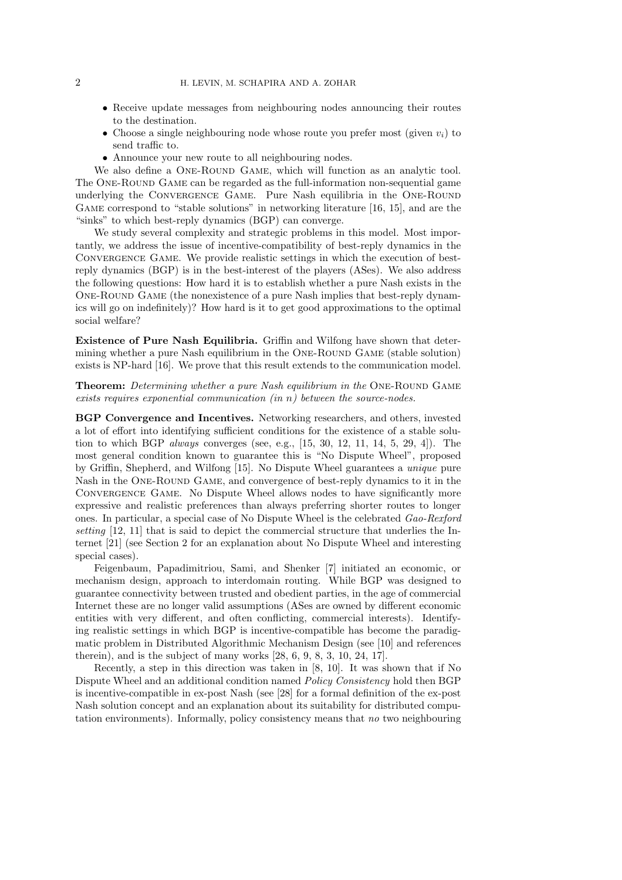- Receive update messages from neighbouring nodes announcing their routes to the destination.
- Choose a single neighbouring node whose route you prefer most (given  $v_i$ ) to send traffic to.
- Announce your new route to all neighbouring nodes.

We also define a ONE-ROUND GAME, which will function as an analytic tool. The One-Round Game can be regarded as the full-information non-sequential game underlying the Convergence Game. Pure Nash equilibria in the One-Round GAME correspond to "stable solutions" in networking literature [16, 15], and are the "sinks" to which best-reply dynamics (BGP) can converge.

We study several complexity and strategic problems in this model. Most importantly, we address the issue of incentive-compatibility of best-reply dynamics in the Convergence Game. We provide realistic settings in which the execution of bestreply dynamics (BGP) is in the best-interest of the players (ASes). We also address the following questions: How hard it is to establish whether a pure Nash exists in the One-Round Game (the nonexistence of a pure Nash implies that best-reply dynamics will go on indefinitely)? How hard is it to get good approximations to the optimal social welfare?

Existence of Pure Nash Equilibria. Griffin and Wilfong have shown that determining whether a pure Nash equilibrium in the One-Round Game (stable solution) exists is NP-hard [16]. We prove that this result extends to the communication model.

## **Theorem:** Determining whether a pure Nash equilibrium in the ONE-ROUND GAME exists requires exponential communication (in  $n$ ) between the source-nodes.

BGP Convergence and Incentives. Networking researchers, and others, invested a lot of effort into identifying sufficient conditions for the existence of a stable solution to which BGP *always* converges (see, e.g.,  $[15, 30, 12, 11, 14, 5, 29, 4]$ ). The most general condition known to guarantee this is "No Dispute Wheel", proposed by Griffin, Shepherd, and Wilfong [15]. No Dispute Wheel guarantees a unique pure Nash in the One-Round Game, and convergence of best-reply dynamics to it in the Convergence Game. No Dispute Wheel allows nodes to have significantly more expressive and realistic preferences than always preferring shorter routes to longer ones. In particular, a special case of No Dispute Wheel is the celebrated Gao-Rexford setting [12, 11] that is said to depict the commercial structure that underlies the Internet [21] (see Section 2 for an explanation about No Dispute Wheel and interesting special cases).

Feigenbaum, Papadimitriou, Sami, and Shenker [7] initiated an economic, or mechanism design, approach to interdomain routing. While BGP was designed to guarantee connectivity between trusted and obedient parties, in the age of commercial Internet these are no longer valid assumptions (ASes are owned by different economic entities with very different, and often conflicting, commercial interests). Identifying realistic settings in which BGP is incentive-compatible has become the paradigmatic problem in Distributed Algorithmic Mechanism Design (see [10] and references therein), and is the subject of many works [28, 6, 9, 8, 3, 10, 24, 17].

Recently, a step in this direction was taken in [8, 10]. It was shown that if No Dispute Wheel and an additional condition named Policy Consistency hold then BGP is incentive-compatible in ex-post Nash (see [28] for a formal definition of the ex-post Nash solution concept and an explanation about its suitability for distributed computation environments). Informally, policy consistency means that no two neighbouring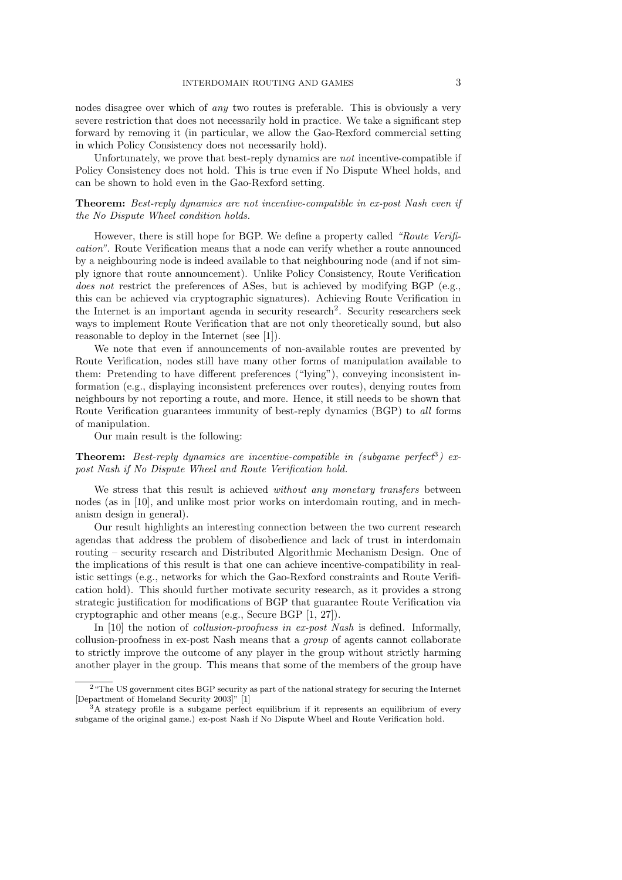nodes disagree over which of any two routes is preferable. This is obviously a very severe restriction that does not necessarily hold in practice. We take a significant step forward by removing it (in particular, we allow the Gao-Rexford commercial setting in which Policy Consistency does not necessarily hold).

Unfortunately, we prove that best-reply dynamics are *not* incentive-compatible if Policy Consistency does not hold. This is true even if No Dispute Wheel holds, and can be shown to hold even in the Gao-Rexford setting.

### Theorem: Best-reply dynamics are not incentive-compatible in ex-post Nash even if the No Dispute Wheel condition holds.

However, there is still hope for BGP. We define a property called "Route Verification". Route Verification means that a node can verify whether a route announced by a neighbouring node is indeed available to that neighbouring node (and if not simply ignore that route announcement). Unlike Policy Consistency, Route Verification does not restrict the preferences of ASes, but is achieved by modifying BGP (e.g., this can be achieved via cryptographic signatures). Achieving Route Verification in the Internet is an important agenda in security research<sup>2</sup>. Security researchers seek ways to implement Route Verification that are not only theoretically sound, but also reasonable to deploy in the Internet (see [1]).

We note that even if announcements of non-available routes are prevented by Route Verification, nodes still have many other forms of manipulation available to them: Pretending to have different preferences ("lying"), conveying inconsistent information (e.g., displaying inconsistent preferences over routes), denying routes from neighbours by not reporting a route, and more. Hence, it still needs to be shown that Route Verification guarantees immunity of best-reply dynamics (BGP) to all forms of manipulation.

Our main result is the following:

# **Theorem:** Best-reply dynamics are incentive-compatible in (subgame perfect<sup>3</sup>) expost Nash if No Dispute Wheel and Route Verification hold.

We stress that this result is achieved *without any monetary transfers* between nodes (as in [10], and unlike most prior works on interdomain routing, and in mechanism design in general).

Our result highlights an interesting connection between the two current research agendas that address the problem of disobedience and lack of trust in interdomain routing – security research and Distributed Algorithmic Mechanism Design. One of the implications of this result is that one can achieve incentive-compatibility in realistic settings (e.g., networks for which the Gao-Rexford constraints and Route Verification hold). This should further motivate security research, as it provides a strong strategic justification for modifications of BGP that guarantee Route Verification via cryptographic and other means (e.g., Secure BGP [1, 27]).

In [10] the notion of *collusion-proofness in ex-post Nash* is defined. Informally, collusion-proofness in ex-post Nash means that a group of agents cannot collaborate to strictly improve the outcome of any player in the group without strictly harming another player in the group. This means that some of the members of the group have

<sup>2</sup>"The US government cites BGP security as part of the national strategy for securing the Internet [Department of Homeland Security 2003]" [1]

 $3A$  strategy profile is a subgame perfect equilibrium if it represents an equilibrium of every subgame of the original game.) ex-post Nash if No Dispute Wheel and Route Verification hold.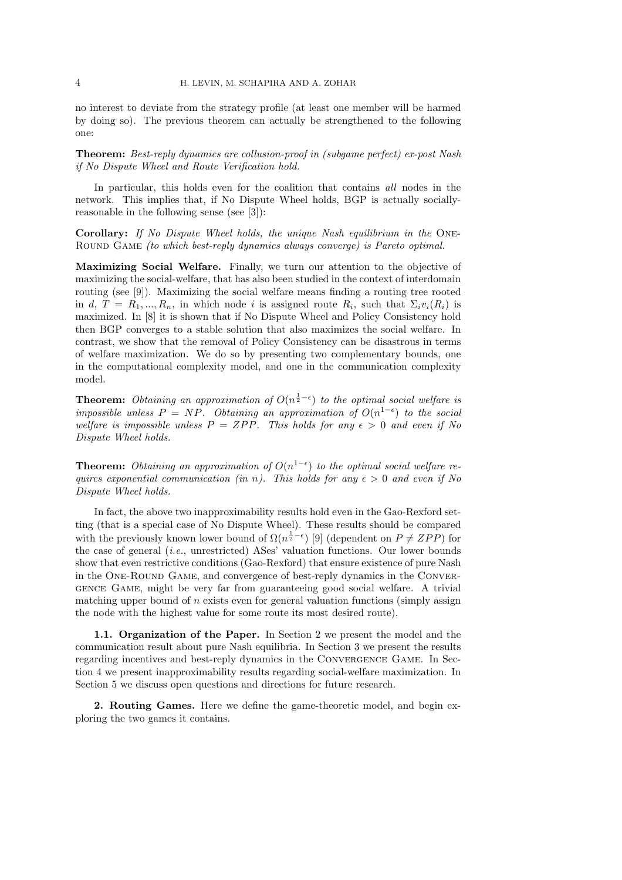no interest to deviate from the strategy profile (at least one member will be harmed by doing so). The previous theorem can actually be strengthened to the following one:

Theorem: Best-reply dynamics are collusion-proof in (subgame perfect) ex-post Nash if No Dispute Wheel and Route Verification hold.

In particular, this holds even for the coalition that contains all nodes in the network. This implies that, if No Dispute Wheel holds, BGP is actually sociallyreasonable in the following sense (see [3]):

Corollary: If No Dispute Wheel holds, the unique Nash equilibrium in the ONE-Round Game (to which best-reply dynamics always converge) is Pareto optimal.

Maximizing Social Welfare. Finally, we turn our attention to the objective of maximizing the social-welfare, that has also been studied in the context of interdomain routing (see [9]). Maximizing the social welfare means finding a routing tree rooted in d,  $T = R_1, ..., R_n$ , in which node i is assigned route  $R_i$ , such that  $\Sigma_i v_i(R_i)$  is maximized. In [8] it is shown that if No Dispute Wheel and Policy Consistency hold then BGP converges to a stable solution that also maximizes the social welfare. In contrast, we show that the removal of Policy Consistency can be disastrous in terms of welfare maximization. We do so by presenting two complementary bounds, one in the computational complexity model, and one in the communication complexity model.

**Theorem:** Obtaining an approximation of  $O(n^{\frac{1}{2}-\epsilon})$  to the optimal social welfare is impossible unless  $P = NP$ . Obtaining an approximation of  $O(n^{1-\epsilon})$  to the social welfare is impossible unless  $P = ZPP$ . This holds for any  $\epsilon > 0$  and even if No Dispute Wheel holds.

**Theorem:** Obtaining an approximation of  $O(n^{1-\epsilon})$  to the optimal social welfare requires exponential communication (in n). This holds for any  $\epsilon > 0$  and even if No Dispute Wheel holds.

In fact, the above two inapproximability results hold even in the Gao-Rexford setting (that is a special case of No Dispute Wheel). These results should be compared with the previously known lower bound of  $\Omega(n^{\frac{1}{2}-\epsilon})$  [9] (dependent on  $P \neq ZPP$ ) for the case of general  $(i.e.,$  unrestricted) ASes' valuation functions. Our lower bounds show that even restrictive conditions (Gao-Rexford) that ensure existence of pure Nash in the One-Round Game, and convergence of best-reply dynamics in the Convergence Game, might be very far from guaranteeing good social welfare. A trivial matching upper bound of  $n$  exists even for general valuation functions (simply assign the node with the highest value for some route its most desired route).

1.1. Organization of the Paper. In Section 2 we present the model and the communication result about pure Nash equilibria. In Section 3 we present the results regarding incentives and best-reply dynamics in the Convergence Game. In Section 4 we present inapproximability results regarding social-welfare maximization. In Section 5 we discuss open questions and directions for future research.

2. Routing Games. Here we define the game-theoretic model, and begin exploring the two games it contains.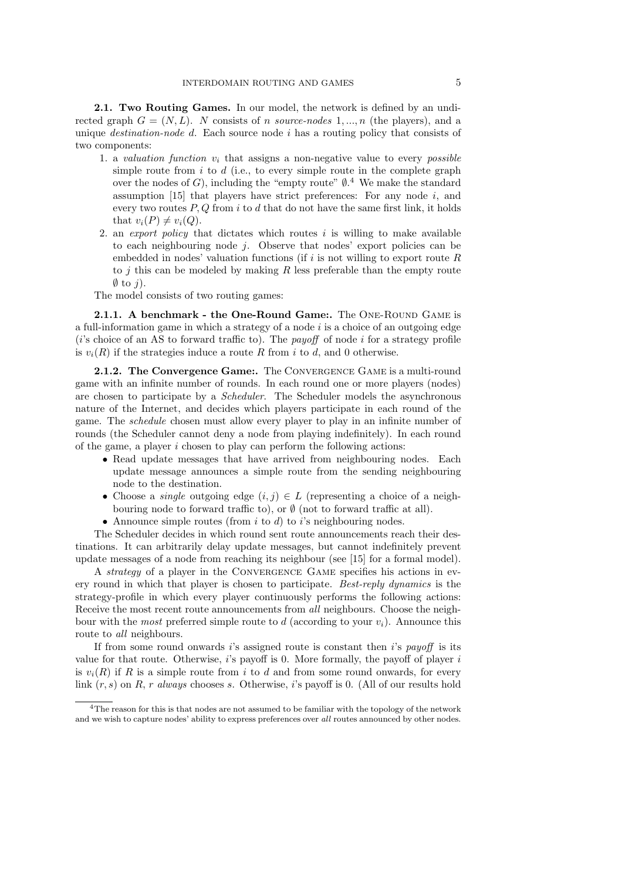2.1. Two Routing Games. In our model, the network is defined by an undirected graph  $G = (N, L)$ . N consists of n source-nodes 1, ..., n (the players), and a unique *destination-node d*. Each source node  $i$  has a routing policy that consists of two components:

- 1. a valuation function  $v_i$ , that assigns a non-negative value to every possible simple route from  $i$  to  $d$  (i.e., to every simple route in the complete graph over the nodes of G), including the "empty route"  $\emptyset$ <sup>4</sup>. We make the standard assumption [15] that players have strict preferences: For any node  $i$ , and every two routes  $P, Q$  from i to d that do not have the same first link, it holds that  $v_i(P) \neq v_i(Q)$ .
- 2. an export policy that dictates which routes  $i$  is willing to make available to each neighbouring node  $j$ . Observe that nodes' export policies can be embedded in nodes' valuation functions (if  $i$  is not willing to export route  $R$ to  $j$  this can be modeled by making  $R$  less preferable than the empty route  $\emptyset$  to j).

The model consists of two routing games:

2.1.1. A benchmark - the One-Round Game:. The ONE-ROUND GAME is a full-information game in which a strategy of a node  $i$  is a choice of an outgoing edge  $(i)$ 's choice of an AS to forward traffic to). The *payoff* of node i for a strategy profile is  $v_i(R)$  if the strategies induce a route R from i to d, and 0 otherwise.

2.1.2. The Convergence Game:. The Convergence Game is a multi-round game with an infinite number of rounds. In each round one or more players (nodes) are chosen to participate by a Scheduler. The Scheduler models the asynchronous nature of the Internet, and decides which players participate in each round of the game. The schedule chosen must allow every player to play in an infinite number of rounds (the Scheduler cannot deny a node from playing indefinitely). In each round of the game, a player  $i$  chosen to play can perform the following actions:

- Read update messages that have arrived from neighbouring nodes. Each update message announces a simple route from the sending neighbouring node to the destination.
- Choose a *single* outgoing edge  $(i, j) \in L$  (representing a choice of a neighbouring node to forward traffic to), or  $\emptyset$  (not to forward traffic at all).
- Announce simple routes (from  $i$  to  $j$ ) to  $i$ 's neighbouring nodes.

The Scheduler decides in which round sent route announcements reach their destinations. It can arbitrarily delay update messages, but cannot indefinitely prevent update messages of a node from reaching its neighbour (see [15] for a formal model).

A strategy of a player in the Convergence Game specifies his actions in every round in which that player is chosen to participate. Best-reply dynamics is the strategy-profile in which every player continuously performs the following actions: Receive the most recent route announcements from all neighbours. Choose the neighbour with the *most* preferred simple route to d (according to your  $v_i$ ). Announce this route to *all* neighbours.

If from some round onwards is assigned route is constant then i's payoff is its value for that route. Otherwise,  $i$ 's payoff is 0. More formally, the payoff of player  $i$ is  $v_i(R)$  if R is a simple route from i to d and from some round onwards, for every link  $(r, s)$  on R, r always chooses s. Otherwise, i's payoff is 0. (All of our results hold

<sup>&</sup>lt;sup>4</sup>The reason for this is that nodes are not assumed to be familiar with the topology of the network and we wish to capture nodes' ability to express preferences over all routes announced by other nodes.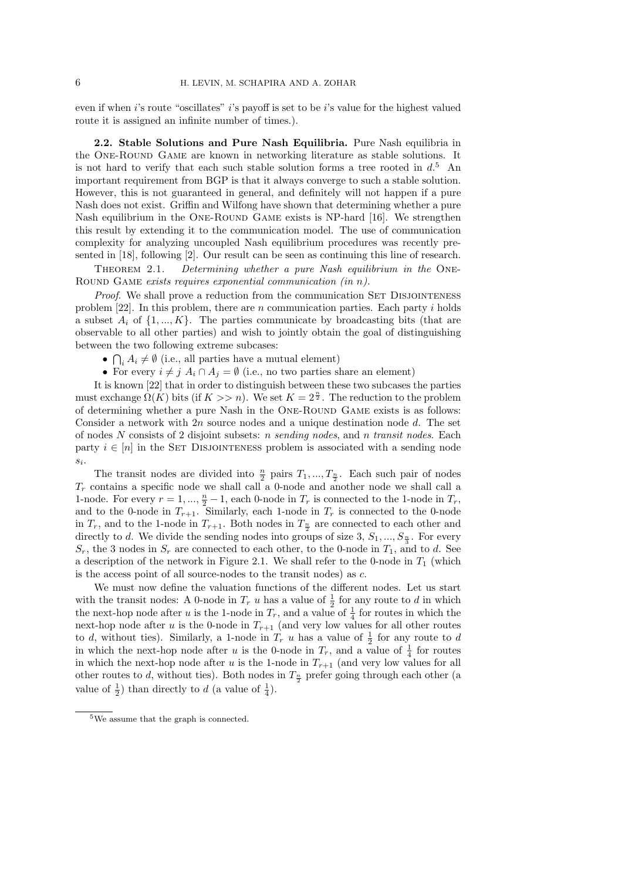even if when i's route "oscillates" i's payoff is set to be i's value for the highest valued route it is assigned an infinite number of times.).

2.2. Stable Solutions and Pure Nash Equilibria. Pure Nash equilibria in the One-Round Game are known in networking literature as stable solutions. It is not hard to verify that each such stable solution forms a tree rooted in  $d<sup>5</sup>$ . An important requirement from BGP is that it always converge to such a stable solution. However, this is not guaranteed in general, and definitely will not happen if a pure Nash does not exist. Griffin and Wilfong have shown that determining whether a pure Nash equilibrium in the One-Round Game exists is NP-hard [16]. We strengthen this result by extending it to the communication model. The use of communication complexity for analyzing uncoupled Nash equilibrium procedures was recently presented in [18], following [2]. Our result can be seen as continuing this line of research.

THEOREM 2.1. Determining whether a pure Nash equilibrium in the ONE-ROUND GAME exists requires exponential communication (in n).

Proof. We shall prove a reduction from the communication SET DISJOINTENESS problem [22]. In this problem, there are n communication parties. Each party i holds a subset  $A_i$  of  $\{1, ..., K\}$ . The parties communicate by broadcasting bits (that are observable to all other parties) and wish to jointly obtain the goal of distinguishing between the two following extreme subcases:

- $\bigcap_i A_i \neq \emptyset$  (i.e., all parties have a mutual element)
- For every  $i \neq j$   $A_i \cap A_j = \emptyset$  (i.e., no two parties share an element)

It is known [22] that in order to distinguish between these two subcases the parties must exchange  $\Omega(K)$  bits (if  $K >> n$ ). We set  $K = 2^{\frac{n}{2}}$ . The reduction to the problem of determining whether a pure Nash in the One-Round Game exists is as follows: Consider a network with  $2n$  source nodes and a unique destination node d. The set of nodes N consists of 2 disjoint subsets: n sending nodes, and n transit nodes. Each party  $i \in [n]$  in the SET DISJOINTENESS problem is associated with a sending node  $s_i$ .

The transit nodes are divided into  $\frac{n}{2}$  pairs  $T_1, ..., T_{\frac{n}{2}}$ . Each such pair of nodes  $T_r$  contains a specific node we shall call a 0-node and another node we shall call a 1-node. For every  $r = 1, ..., \frac{n}{2} - 1$ , each 0-node in  $T_r$  is connected to the 1-node in  $T_r$ , and to the 0-node in  $T_{r+1}$ . Similarly, each 1-node in  $T_r$  is connected to the 0-node in  $T_r$ , and to the 1-node in  $T_{r+1}$ . Both nodes in  $T_{\frac{n}{2}}$  are connected to each other and directly to d. We divide the sending nodes into groups of size 3,  $S_1, ..., S_{\frac{n}{3}}$ . For every  $S_r$ , the 3 nodes in  $S_r$  are connected to each other, to the 0-node in  $T_1$ , and to d. See a description of the network in Figure 2.1. We shall refer to the 0-node in  $T_1$  (which is the access point of all source-nodes to the transit nodes) as c.

We must now define the valuation functions of the different nodes. Let us start with the transit nodes: A 0-node in  $T_r$  u has a value of  $\frac{1}{2}$  for any route to d in which the next-hop node after u is the 1-node in  $T_r$ , and a value of  $\frac{1}{4}$  for routes in which the next-hop node after u is the 0-node in  $T_{r+1}$  (and very low values for all other routes to d, without ties). Similarly, a 1-node in  $T_r$  u has a value of  $\frac{1}{2}$  for any route to d in which the next-hop node after u is the 0-node in  $T_r$ , and a value of  $\frac{1}{4}$  for routes in which the next-hop node after u is the 1-node in  $T_{r+1}$  (and very low values for all other routes to d, without ties). Both nodes in  $T_{\frac{n}{2}}$  prefer going through each other (a value of  $\frac{1}{2}$ ) than directly to d (a value of  $\frac{1}{4}$ ).

<sup>5</sup>We assume that the graph is connected.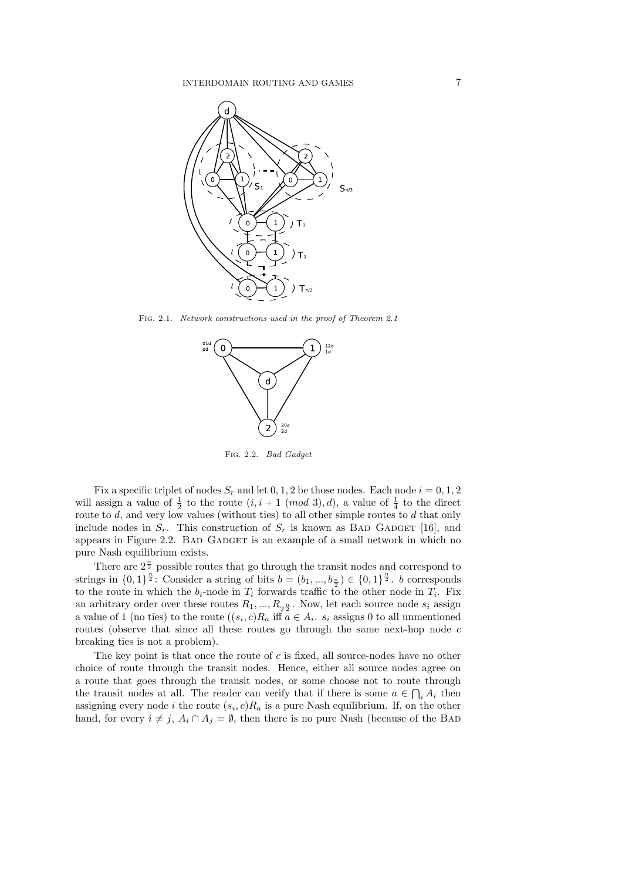

Fig. 2.1. Network constructions used in the proof of Theorem 2.1



Fig. 2.2. Bad Gadget

Fix a specific triplet of nodes  $S_r$  and let 0, 1, 2 be those nodes. Each node  $i = 0, 1, 2$ will assign a value of  $\frac{1}{2}$  to the route  $(i, i + 1 \pmod{3}, d)$ , a value of  $\frac{1}{4}$  to the direct route to  $d$ , and very low values (without ties) to all other simple routes to  $d$  that only include nodes in  $S_r$ . This construction of  $S_r$  is known as BAD GADGET [16], and appears in Figure 2.2. BAD GADGET is an example of a small network in which no pure Nash equilibrium exists.

There are  $2^{\frac{n}{2}}$  possible routes that go through the transit nodes and correspond to strings in  $\{0,1\}^{\frac{n}{2}}$ : Consider a string of bits  $b = (b_1, ..., b_{\frac{n}{2}}) \in \{0,1\}^{\frac{n}{2}}$ . b corresponds to the route in which the  $b_i$ -node in  $T_i$  forwards traffic to the other node in  $T_i$ . Fix an arbitrary order over these routes  $R_1, ..., R_{2^{\frac{n}{2}}}$ . Now, let each source node  $s_i$  assign a value of 1 (no ties) to the route  $((s_i, c)R_a \text{ iff } a \in A_i$ .  $s_i$  assigns 0 to all unmentioned routes (observe that since all these routes go through the same next-hop node  $c$ breaking ties is not a problem).

The key point is that once the route of c is fixed, all source-nodes have no other choice of route through the transit nodes. Hence, either all source nodes agree on a route that goes through the transit nodes, or some choose not to route through T the transit nodes at all. The reader can verify that if there is some  $a \in \bigcap_i A_i$  then assigning every node i the route  $(s_i, c)R_a$  is a pure Nash equilibrium. If, on the other hand, for every  $i \neq j$ ,  $A_i \cap A_j = \emptyset$ , then there is no pure Nash (because of the BAD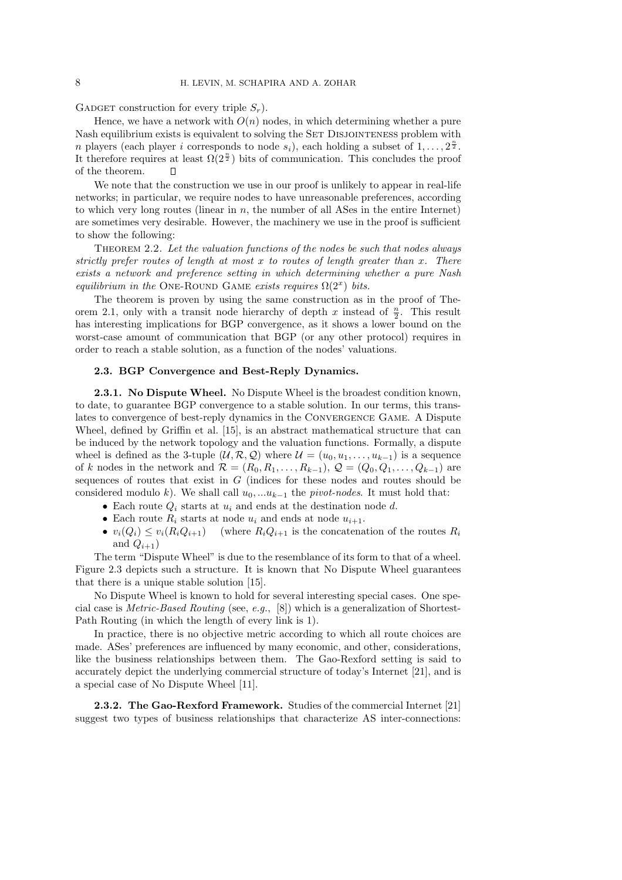GADGET construction for every triple  $S_r$ ).

Hence, we have a network with  $O(n)$  nodes, in which determining whether a pure Nash equilibrium exists is equivalent to solving the SET DISJOINTENESS problem with *n* players (each player *i* corresponds to node  $s_i$ ), each holding a subset of  $1, \ldots, 2^{\frac{n}{2}}$ . It therefore requires at least  $\Omega(2^{\frac{n}{2}})$  bits of communication. This concludes the proof of the theorem.  $\Box$ 

We note that the construction we use in our proof is unlikely to appear in real-life networks; in particular, we require nodes to have unreasonable preferences, according to which very long routes (linear in  $n$ , the number of all ASes in the entire Internet) are sometimes very desirable. However, the machinery we use in the proof is sufficient to show the following:

THEOREM 2.2. Let the valuation functions of the nodes be such that nodes always strictly prefer routes of length at most  $x$  to routes of length greater than  $x$ . There exists a network and preference setting in which determining whether a pure Nash equilibrium in the ONE-ROUND GAME exists requires  $\Omega(2^x)$  bits.

The theorem is proven by using the same construction as in the proof of Theorem 2.1, only with a transit node hierarchy of depth x instead of  $\frac{n}{2}$ . This result has interesting implications for BGP convergence, as it shows a lower bound on the worst-case amount of communication that BGP (or any other protocol) requires in order to reach a stable solution, as a function of the nodes' valuations.

### 2.3. BGP Convergence and Best-Reply Dynamics.

2.3.1. No Dispute Wheel. No Dispute Wheel is the broadest condition known, to date, to guarantee BGP convergence to a stable solution. In our terms, this translates to convergence of best-reply dynamics in the Convergence Game. A Dispute Wheel, defined by Griffin et al. [15], is an abstract mathematical structure that can be induced by the network topology and the valuation functions. Formally, a dispute wheel is defined as the 3-tuple  $(\mathcal{U}, \mathcal{R}, \mathcal{Q})$  where  $\mathcal{U} = (u_0, u_1, \dots, u_{k-1})$  is a sequence of k nodes in the network and  $\mathcal{R} = (R_0, R_1, \ldots, R_{k-1}), \mathcal{Q} = (Q_0, Q_1, \ldots, Q_{k-1})$  are sequences of routes that exist in G (indices for these nodes and routes should be considered modulo k). We shall call  $u_0, ... u_{k-1}$  the *pivot-nodes*. It must hold that:

- Each route  $Q_i$  starts at  $u_i$  and ends at the destination node d.
- Each route  $R_i$  starts at node  $u_i$  and ends at node  $u_{i+1}$ .
- $v_i(Q_i) \leq v_i(R_iQ_{i+1})$  (where  $R_iQ_{i+1}$  is the concatenation of the routes  $R_i$ and  $Q_{i+1}$ )

The term "Dispute Wheel" is due to the resemblance of its form to that of a wheel. Figure 2.3 depicts such a structure. It is known that No Dispute Wheel guarantees that there is a unique stable solution [15].

No Dispute Wheel is known to hold for several interesting special cases. One special case is *Metric-Based Routing* (see, *e.g.*,  $[8]$ ) which is a generalization of Shortest-Path Routing (in which the length of every link is 1).

In practice, there is no objective metric according to which all route choices are made. ASes' preferences are influenced by many economic, and other, considerations, like the business relationships between them. The Gao-Rexford setting is said to accurately depict the underlying commercial structure of today's Internet [21], and is a special case of No Dispute Wheel [11].

2.3.2. The Gao-Rexford Framework. Studies of the commercial Internet [21] suggest two types of business relationships that characterize AS inter-connections: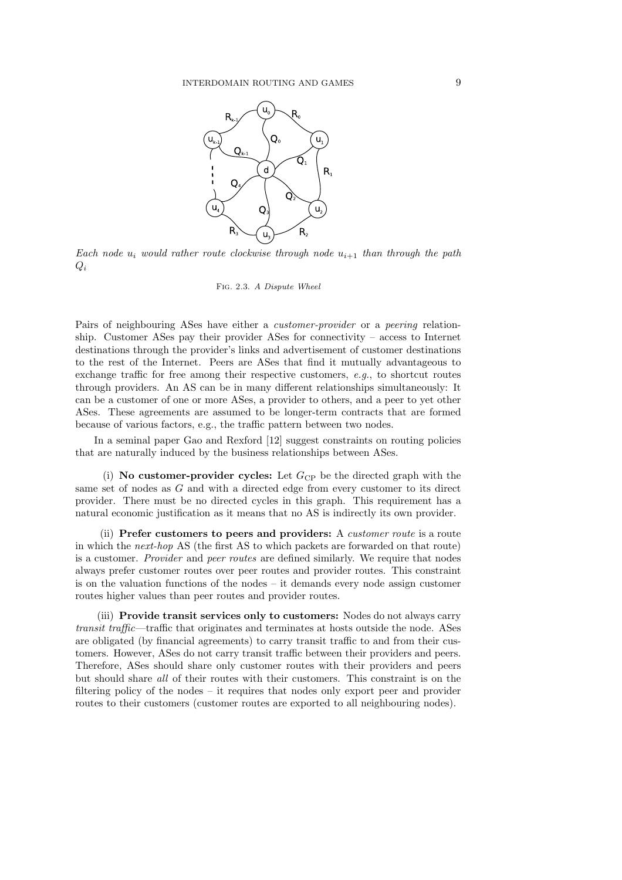

Each node  $u_i$  would rather route clockwise through node  $u_{i+1}$  than through the path  $Q_i$ 

#### Fig. 2.3. A Dispute Wheel

Pairs of neighbouring ASes have either a customer-provider or a peering relationship. Customer ASes pay their provider ASes for connectivity – access to Internet destinations through the provider's links and advertisement of customer destinations to the rest of the Internet. Peers are ASes that find it mutually advantageous to exchange traffic for free among their respective customers, e.g., to shortcut routes through providers. An AS can be in many different relationships simultaneously: It can be a customer of one or more ASes, a provider to others, and a peer to yet other ASes. These agreements are assumed to be longer-term contracts that are formed because of various factors, e.g., the traffic pattern between two nodes.

In a seminal paper Gao and Rexford [12] suggest constraints on routing policies that are naturally induced by the business relationships between ASes.

(i) No customer-provider cycles: Let  $G_{\text{CP}}$  be the directed graph with the same set of nodes as G and with a directed edge from every customer to its direct provider. There must be no directed cycles in this graph. This requirement has a natural economic justification as it means that no AS is indirectly its own provider.

(ii) Prefer customers to peers and providers: A customer route is a route in which the next-hop AS (the first AS to which packets are forwarded on that route) is a customer. Provider and peer routes are defined similarly. We require that nodes always prefer customer routes over peer routes and provider routes. This constraint is on the valuation functions of the nodes – it demands every node assign customer routes higher values than peer routes and provider routes.

(iii) Provide transit services only to customers: Nodes do not always carry transit traffic—traffic that originates and terminates at hosts outside the node. ASes are obligated (by financial agreements) to carry transit traffic to and from their customers. However, ASes do not carry transit traffic between their providers and peers. Therefore, ASes should share only customer routes with their providers and peers but should share all of their routes with their customers. This constraint is on the filtering policy of the nodes – it requires that nodes only export peer and provider routes to their customers (customer routes are exported to all neighbouring nodes).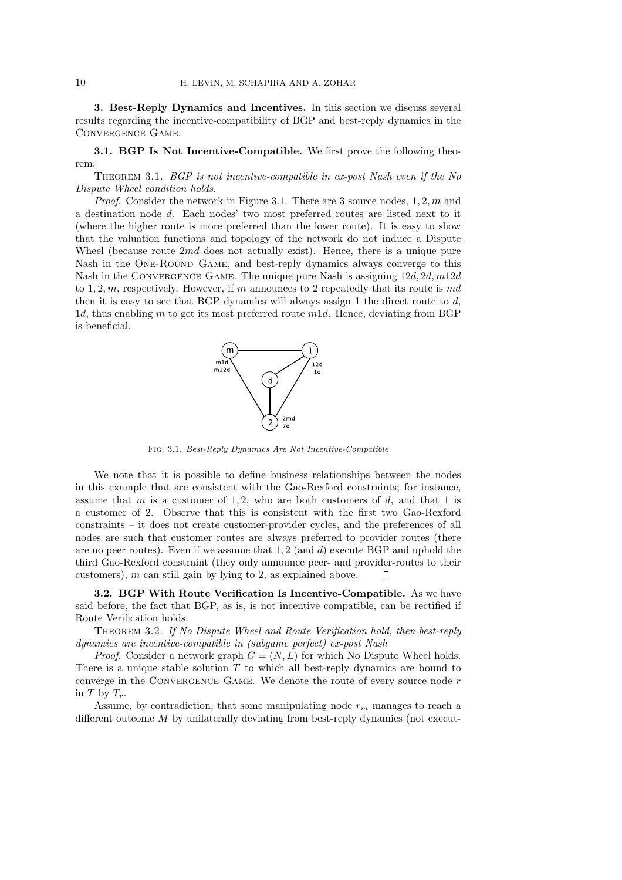3. Best-Reply Dynamics and Incentives. In this section we discuss several results regarding the incentive-compatibility of BGP and best-reply dynamics in the Convergence Game.

3.1. BGP Is Not Incentive-Compatible. We first prove the following theorem:

Theorem 3.1. BGP is not incentive-compatible in ex-post Nash even if the No Dispute Wheel condition holds.

*Proof.* Consider the network in Figure 3.1. There are 3 source nodes,  $1, 2, m$  and a destination node d. Each nodes' two most preferred routes are listed next to it (where the higher route is more preferred than the lower route). It is easy to show that the valuation functions and topology of the network do not induce a Dispute Wheel (because route  $2md$  does not actually exist). Hence, there is a unique pure Nash in the ONE-ROUND GAME, and best-reply dynamics always converge to this Nash in the CONVERGENCE GAME. The unique pure Nash is assigning  $12d, 2d, m12d$ to 1, 2, m, respectively. However, if m announces to 2 repeatedly that its route is  $md$ then it is easy to see that BGP dynamics will always assign 1 the direct route to  $d$ , 1d, thus enabling m to get its most preferred route  $m1d$ . Hence, deviating from BGP is beneficial.



Fig. 3.1. Best-Reply Dynamics Are Not Incentive-Compatible

We note that it is possible to define business relationships between the nodes in this example that are consistent with the Gao-Rexford constraints; for instance, assume that m is a customer of 1, 2, who are both customers of d, and that 1 is a customer of 2. Observe that this is consistent with the first two Gao-Rexford constraints – it does not create customer-provider cycles, and the preferences of all nodes are such that customer routes are always preferred to provider routes (there are no peer routes). Even if we assume that  $1, 2$  (and d) execute BGP and uphold the third Gao-Rexford constraint (they only announce peer- and provider-routes to their customers), m can still gain by lying to 2, as explained above.

3.2. BGP With Route Verification Is Incentive-Compatible. As we have said before, the fact that BGP, as is, is not incentive compatible, can be rectified if Route Verification holds.

Theorem 3.2. If No Dispute Wheel and Route Verification hold, then best-reply dynamics are incentive-compatible in (subgame perfect) ex-post Nash

*Proof.* Consider a network graph  $G = (N, L)$  for which No Dispute Wheel holds. There is a unique stable solution  $T$  to which all best-reply dynamics are bound to converge in the CONVERGENCE GAME. We denote the route of every source node  $r$ in  $T$  by  $T_r$ .

Assume, by contradiction, that some manipulating node  $r_m$  manages to reach a different outcome M by unilaterally deviating from best-reply dynamics (not execut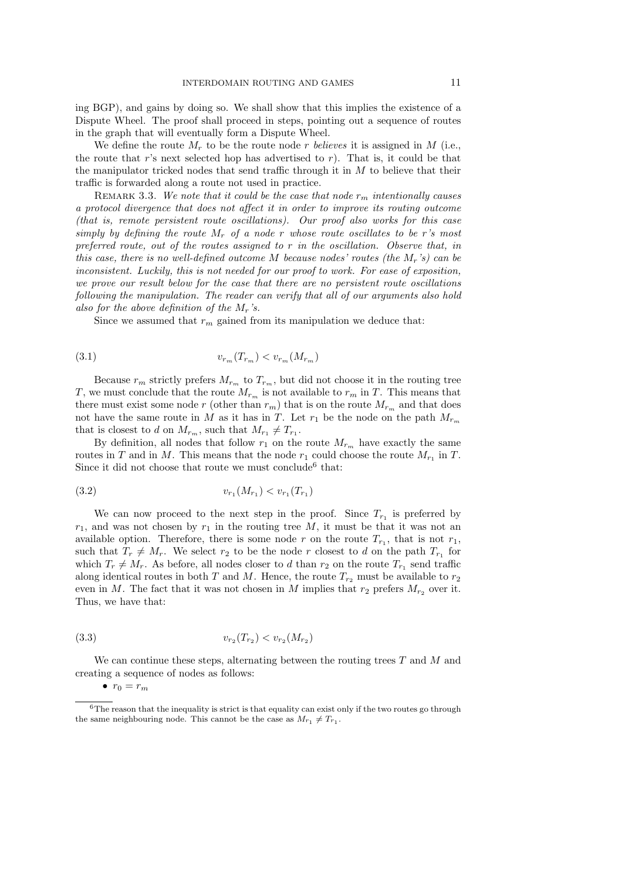ing BGP), and gains by doing so. We shall show that this implies the existence of a Dispute Wheel. The proof shall proceed in steps, pointing out a sequence of routes in the graph that will eventually form a Dispute Wheel.

We define the route  $M_r$  to be the route node r believes it is assigned in M (i.e., the route that r's next selected hop has advertised to r). That is, it could be that the manipulator tricked nodes that send traffic through it in  $M$  to believe that their traffic is forwarded along a route not used in practice.

REMARK 3.3. We note that it could be the case that node  $r_m$  intentionally causes a protocol divergence that does not affect it in order to improve its routing outcome (that is, remote persistent route oscillations). Our proof also works for this case simply by defining the route  $M_r$  of a node r whose route oscillates to be r's most preferred route, out of the routes assigned to r in the oscillation. Observe that, in this case, there is no well-defined outcome M because nodes' routes (the  $M_r$ 's) can be inconsistent. Luckily, this is not needed for our proof to work. For ease of exposition, we prove our result below for the case that there are no persistent route oscillations following the manipulation. The reader can verify that all of our arguments also hold also for the above definition of the  $M_r$ 's.

Since we assumed that  $r_m$  gained from its manipulation we deduce that:

$$
(3.1) \t\t\t v_{r_m}(T_{r_m}) < v_{r_m}(M_{r_m})
$$

Because  $r_m$  strictly prefers  $M_{r_m}$  to  $T_{r_m}$ , but did not choose it in the routing tree T, we must conclude that the route  $M_{r_m}$  is not available to  $r_m$  in T. This means that there must exist some node r (other than  $r_m$ ) that is on the route  $M_{r_m}$  and that does not have the same route in M as it has in T. Let  $r_1$  be the node on the path  $M_{r_m}$ that is closest to d on  $M_{r_m}$ , such that  $M_{r_1} \neq T_{r_1}$ .

By definition, all nodes that follow  $r_1$  on the route  $M_{r_m}$  have exactly the same routes in T and in M. This means that the node  $r_1$  could choose the route  $M_{r_1}$  in T. Since it did not choose that route we must conclude<sup>6</sup> that:

$$
(3.2) \t\t\t v_{r_1}(M_{r_1}) < v_{r_1}(T_{r_1})
$$

We can now proceed to the next step in the proof. Since  $T_{r_1}$  is preferred by  $r_1$ , and was not chosen by  $r_1$  in the routing tree M, it must be that it was not an available option. Therefore, there is some node r on the route  $T_{r_1}$ , that is not  $r_1$ , such that  $T_r \neq M_r$ . We select  $r_2$  to be the node r closest to d on the path  $T_{r_1}$  for which  $T_r \neq M_r$ . As before, all nodes closer to d than  $r_2$  on the route  $T_{r_1}$  send traffic along identical routes in both T and M. Hence, the route  $T_{r_2}$  must be available to  $r_2$ even in M. The fact that it was not chosen in M implies that  $r_2$  prefers  $M_{r_2}$  over it. Thus, we have that:

$$
(3.3) \t\t\t v_{r_2}(T_{r_2}) < v_{r_2}(M_{r_2})
$$

We can continue these steps, alternating between the routing trees  $T$  and  $M$  and creating a sequence of nodes as follows:

$$
\bullet \ \ r_0=r_m
$$

<sup>&</sup>lt;sup>6</sup>The reason that the inequality is strict is that equality can exist only if the two routes go through the same neighbouring node. This cannot be the case as  $M_{r_1} \neq T_{r_1}$ .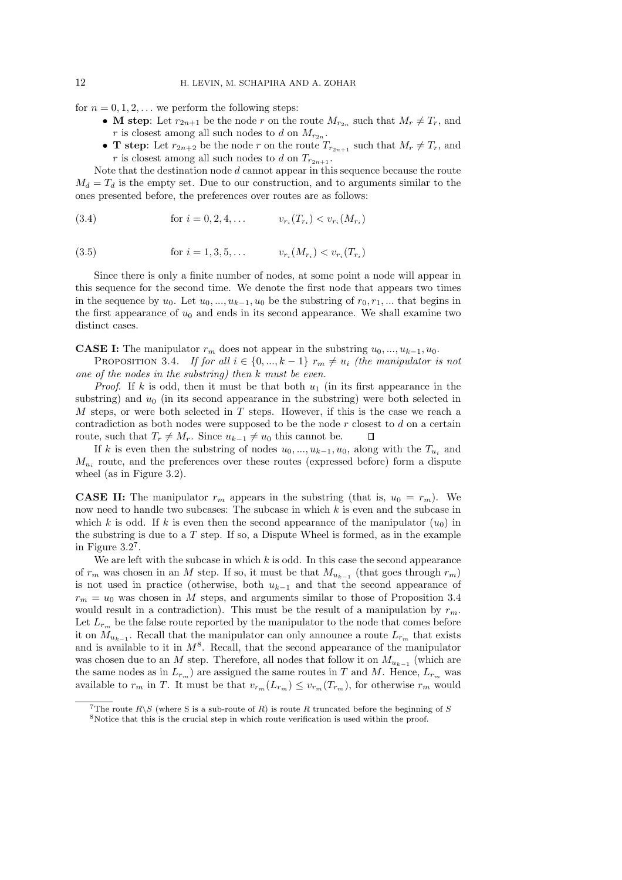for  $n = 0, 1, 2, \ldots$  we perform the following steps:

- **M** step: Let  $r_{2n+1}$  be the node r on the route  $M_{r_{2n}}$  such that  $M_r \neq T_r$ , and r is closest among all such nodes to d on  $M_{r_{2n}}$ .
- **T step:** Let  $r_{2n+2}$  be the node r on the route  $T_{r_{2n+1}}$  such that  $M_r \neq T_r$ , and r is closest among all such nodes to d on  $T_{r_{2n+1}}$ .

Note that the destination node  $d$  cannot appear in this sequence because the route  $M_d = T_d$  is the empty set. Due to our construction, and to arguments similar to the ones presented before, the preferences over routes are as follows:

(3.4) for 
$$
i = 0, 2, 4, ...
$$
  $v_{r_i}(T_{r_i}) < v_{r_i}(M_{r_i})$ 

(3.5) for 
$$
i = 1, 3, 5, ...
$$
  $v_{r_i}(M_{r_i}) < v_{r_i}(T_{r_i})$ 

Since there is only a finite number of nodes, at some point a node will appear in this sequence for the second time. We denote the first node that appears two times in the sequence by  $u_0$ . Let  $u_0, ..., u_{k-1}, u_0$  be the substring of  $r_0, r_1, ...$  that begins in the first appearance of  $u_0$  and ends in its second appearance. We shall examine two distinct cases.

**CASE I:** The manipulator  $r_m$  does not appear in the substring  $u_0, ..., u_{k-1}, u_0$ .

PROPOSITION 3.4. If for all  $i \in \{0, ..., k-1\}$   $r_m \neq u_i$  (the manipulator is not one of the nodes in the substring) then k must be even.

*Proof.* If k is odd, then it must be that both  $u_1$  (in its first appearance in the substring) and  $u_0$  (in its second appearance in the substring) were both selected in  $M$  steps, or were both selected in  $T$  steps. However, if this is the case we reach a contradiction as both nodes were supposed to be the node  $r$  closest to  $d$  on a certain route, such that  $T_r \neq M_r$ . Since  $u_{k-1} \neq u_0$  this cannot be.

If k is even then the substring of nodes  $u_0, \ldots, u_{k-1}, u_0$ , along with the  $T_{u_i}$  and  $M_{u_i}$  route, and the preferences over these routes (expressed before) form a dispute wheel (as in Figure 3.2).

**CASE II:** The manipulator  $r_m$  appears in the substring (that is,  $u_0 = r_m$ ). We now need to handle two subcases: The subcase in which  $k$  is even and the subcase in which k is odd. If k is even then the second appearance of the manipulator  $(u_0)$  in the substring is due to a  $T$  step. If so, a Dispute Wheel is formed, as in the example in Figure  $3.2^7$ .

We are left with the subcase in which  $k$  is odd. In this case the second appearance of  $r_m$  was chosen in an M step. If so, it must be that  $M_{u_{k-1}}$  (that goes through  $r_m$ ) is not used in practice (otherwise, both  $u_{k-1}$  and that the second appearance of  $r_m = u_0$  was chosen in M steps, and arguments similar to those of Proposition 3.4 would result in a contradiction). This must be the result of a manipulation by  $r_m$ . Let  $L_{r_m}$  be the false route reported by the manipulator to the node that comes before it on  $M_{u_{k-1}}$ . Recall that the manipulator can only announce a route  $L_{r_m}$  that exists and is available to it in  $M^8$ . Recall, that the second appearance of the manipulator was chosen due to an M step. Therefore, all nodes that follow it on  $M_{u_{k-1}}$  (which are the same nodes as in  $L_{r_m}$  are assigned the same routes in T and M. Hence,  $L_{r_m}$  was available to  $r_m$  in T. It must be that  $v_{r_m}(L_{r_m}) \leq v_{r_m}(T_{r_m})$ , for otherwise  $r_m$  would

<sup>&</sup>lt;sup>7</sup>The route  $R\backslash S$  (where S is a sub-route of R) is route R truncated before the beginning of S

<sup>8</sup>Notice that this is the crucial step in which route verification is used within the proof.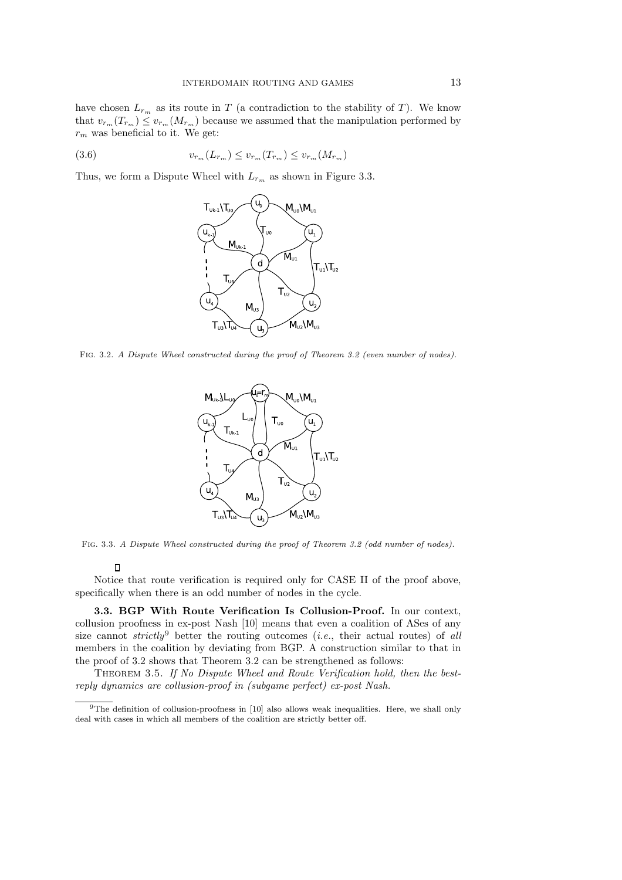have chosen  $L_{r_m}$  as its route in T (a contradiction to the stability of T). We know that  $v_{r_m}(T_{r_m}) \leq v_{r_m}(M_{r_m})$  because we assumed that the manipulation performed by  $r_m$  was beneficial to it. We get:

(3.6) 
$$
v_{r_m}(L_{r_m}) \le v_{r_m}(T_{r_m}) \le v_{r_m}(M_{r_m})
$$

Thus, we form a Dispute Wheel with  $L_{r_m}$  as shown in Figure 3.3.



Fig. 3.2. A Dispute Wheel constructed during the proof of Theorem 3.2 (even number of nodes).



Fig. 3.3. A Dispute Wheel constructed during the proof of Theorem 3.2 (odd number of nodes).

#### $\Box$

Notice that route verification is required only for CASE II of the proof above, specifically when there is an odd number of nodes in the cycle.

3.3. BGP With Route Verification Is Collusion-Proof. In our context, collusion proofness in ex-post Nash [10] means that even a coalition of ASes of any size cannot *strictly*<sup>9</sup> better the routing outcomes (*i.e.*, their actual routes) of all members in the coalition by deviating from BGP. A construction similar to that in the proof of 3.2 shows that Theorem 3.2 can be strengthened as follows:

Theorem 3.5. If No Dispute Wheel and Route Verification hold, then the bestreply dynamics are collusion-proof in (subgame perfect) ex-post Nash.

 $\overline{^{9}$ The definition of collusion-proofness in [10] also allows weak inequalities. Here, we shall only deal with cases in which all members of the coalition are strictly better off.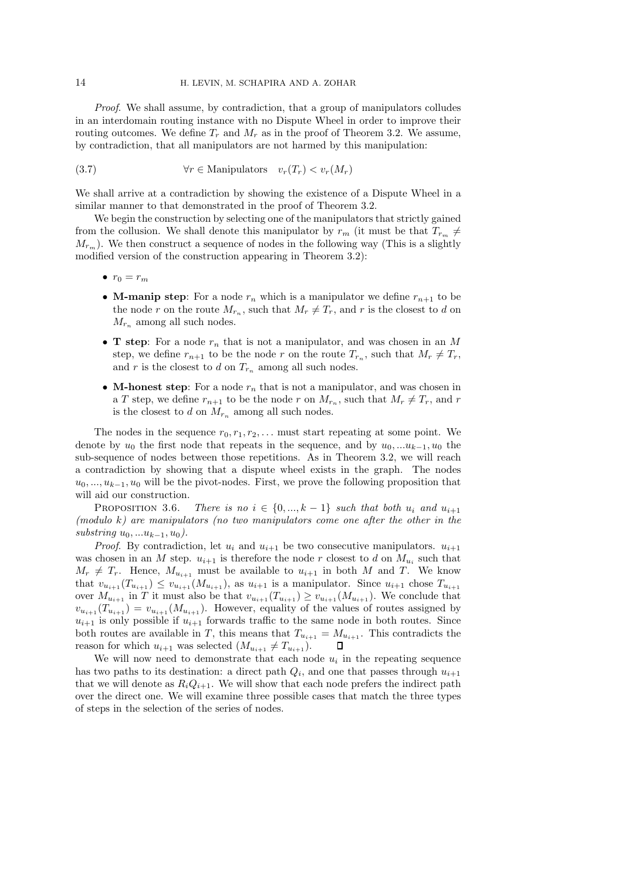Proof. We shall assume, by contradiction, that a group of manipulators colludes in an interdomain routing instance with no Dispute Wheel in order to improve their routing outcomes. We define  $T_r$  and  $M_r$  as in the proof of Theorem 3.2. We assume, by contradiction, that all manipulators are not harmed by this manipulation:

(3.7) 
$$
\forall r \in \text{Manipulators} \quad v_r(T_r) < v_r(M_r)
$$

We shall arrive at a contradiction by showing the existence of a Dispute Wheel in a similar manner to that demonstrated in the proof of Theorem 3.2.

We begin the construction by selecting one of the manipulators that strictly gained from the collusion. We shall denote this manipulator by  $r_m$  (it must be that  $T_{r_m} \neq$  $M_{r_m}$ ). We then construct a sequence of nodes in the following way (This is a slightly modified version of the construction appearing in Theorem 3.2):

- $r_0 = r_m$
- **M-manip step**: For a node  $r_n$  which is a manipulator we define  $r_{n+1}$  to be the node r on the route  $M_{r_n}$ , such that  $M_r \neq T_r$ , and r is the closest to d on  $M_{r_n}$  among all such nodes.
- **T** step: For a node  $r_n$  that is not a manipulator, and was chosen in an M step, we define  $r_{n+1}$  to be the node r on the route  $T_{r_n}$ , such that  $M_r \neq T_r$ , and r is the closest to d on  $T_{r_n}$  among all such nodes.
- M-honest step: For a node  $r_n$  that is not a manipulator, and was chosen in a T step, we define  $r_{n+1}$  to be the node r on  $M_{r_n}$ , such that  $M_r \neq T_r$ , and r is the closest to d on  $M_{r_n}$  among all such nodes.

The nodes in the sequence  $r_0, r_1, r_2, \ldots$  must start repeating at some point. We denote by  $u_0$  the first node that repeats in the sequence, and by  $u_0, ...u_{k-1}, u_0$  the sub-sequence of nodes between those repetitions. As in Theorem 3.2, we will reach a contradiction by showing that a dispute wheel exists in the graph. The nodes  $u_0, \ldots, u_{k-1}, u_0$  will be the pivot-nodes. First, we prove the following proposition that will aid our construction.

PROPOSITION 3.6. There is no  $i \in \{0, ..., k-1\}$  such that both  $u_i$  and  $u_{i+1}$  $(modulo\ k)$  are manipulators (no two manipulators come one after the other in the substring  $u_0, \ldots, u_{k-1}, u_0$ ).

*Proof.* By contradiction, let  $u_i$  and  $u_{i+1}$  be two consecutive manipulators.  $u_{i+1}$ was chosen in an M step.  $u_{i+1}$  is therefore the node r closest to d on  $M_{u_i}$  such that  $M_r \neq T_r$ . Hence,  $M_{u_{i+1}}$  must be available to  $u_{i+1}$  in both M and T. We know that  $v_{u_{i+1}}(T_{u_{i+1}}) \leq v_{u_{i+1}}(M_{u_{i+1}})$ , as  $u_{i+1}$  is a manipulator. Since  $u_{i+1}$  chose  $T_{u_{i+1}}$ over  $M_{u_{i+1}}$  in T it must also be that  $v_{u_{i+1}}(T_{u_{i+1}}) \geq v_{u_{i+1}}(M_{u_{i+1}})$ . We conclude that  $v_{u_{i+1}}(T_{u_{i+1}}) = v_{u_{i+1}}(M_{u_{i+1}})$ . However, equality of the values of routes assigned by  $u_{i+1}$  is only possible if  $u_{i+1}$  forwards traffic to the same node in both routes. Since both routes are available in T, this means that  $T_{u_{i+1}} = M_{u_{i+1}}$ . This contradicts the reason for which  $u_{i+1}$  was selected  $(M_{u_{i+1}} \neq T_{u_{i+1}})$ .  $\Box$ 

We will now need to demonstrate that each node  $u_i$  in the repeating sequence has two paths to its destination: a direct path  $Q_i$ , and one that passes through  $u_{i+1}$ that we will denote as  $R_iQ_{i+1}$ . We will show that each node prefers the indirect path over the direct one. We will examine three possible cases that match the three types of steps in the selection of the series of nodes.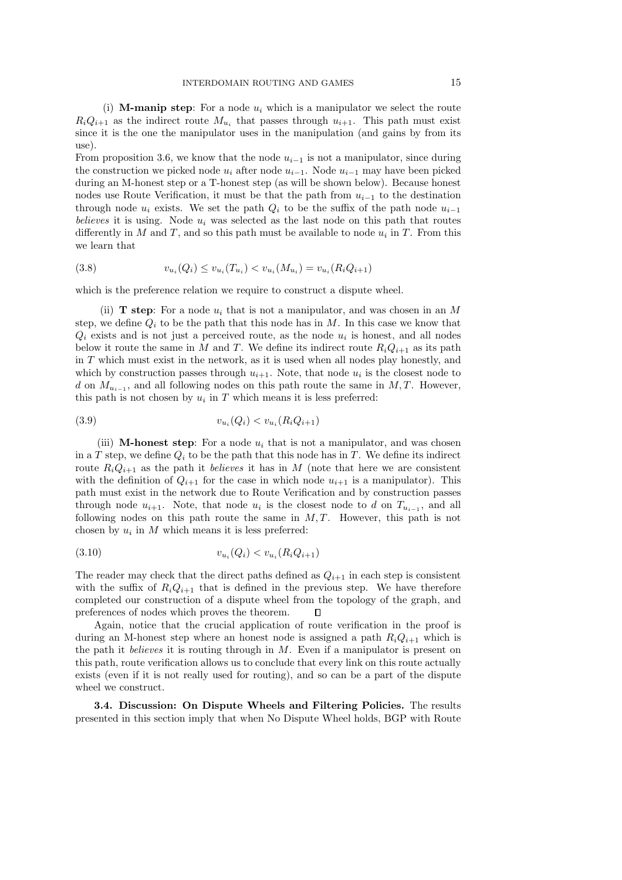(i) **M-manip step**: For a node  $u_i$  which is a manipulator we select the route  $R_i Q_{i+1}$  as the indirect route  $M_{u_i}$  that passes through  $u_{i+1}$ . This path must exist since it is the one the manipulator uses in the manipulation (and gains by from its use).

From proposition 3.6, we know that the node  $u_{i-1}$  is not a manipulator, since during the construction we picked node  $u_i$  after node  $u_{i-1}$ . Node  $u_{i-1}$  may have been picked during an M-honest step or a T-honest step (as will be shown below). Because honest nodes use Route Verification, it must be that the path from  $u_{i-1}$  to the destination through node  $u_i$  exists. We set the path  $Q_i$  to be the suffix of the path node  $u_{i-1}$ believes it is using. Node  $u_i$  was selected as the last node on this path that routes differently in M and T, and so this path must be available to node  $u_i$  in T. From this we learn that

(3.8) 
$$
v_{u_i}(Q_i) \le v_{u_i}(T_{u_i}) < v_{u_i}(M_{u_i}) = v_{u_i}(R_iQ_{i+1})
$$

which is the preference relation we require to construct a dispute wheel.

(ii) **T** step: For a node  $u_i$  that is not a manipulator, and was chosen in an M step, we define  $Q_i$  to be the path that this node has in M. In this case we know that  $Q_i$  exists and is not just a perceived route, as the node  $u_i$  is honest, and all nodes below it route the same in M and T. We define its indirect route  $R_iQ_{i+1}$  as its path in  $T$  which must exist in the network, as it is used when all nodes play honestly, and which by construction passes through  $u_{i+1}$ . Note, that node  $u_i$  is the closest node to d on  $M_{u_{i-1}}$ , and all following nodes on this path route the same in  $M, T$ . However, this path is not chosen by  $u_i$  in T which means it is less preferred:

$$
(3.9) \t v_{u_i}(Q_i) < v_{u_i}(R_iQ_{i+1})
$$

(iii) **M-honest step**: For a node  $u_i$  that is not a manipulator, and was chosen in a T step, we define  $Q_i$  to be the path that this node has in T. We define its indirect route  $R_i Q_{i+1}$  as the path it *believes* it has in M (note that here we are consistent with the definition of  $Q_{i+1}$  for the case in which node  $u_{i+1}$  is a manipulator). This path must exist in the network due to Route Verification and by construction passes through node  $u_{i+1}$ . Note, that node  $u_i$  is the closest node to d on  $T_{u_{i-1}}$ , and all following nodes on this path route the same in  $M, T$ . However, this path is not chosen by  $u_i$  in M which means it is less preferred:

$$
(3.10) \t\t v_{u_i}(Q_i) < v_{u_i}(R_iQ_{i+1})
$$

The reader may check that the direct paths defined as  $Q_{i+1}$  in each step is consistent with the suffix of  $R_iQ_{i+1}$  that is defined in the previous step. We have therefore completed our construction of a dispute wheel from the topology of the graph, and preferences of nodes which proves the theorem.  $\Box$ 

Again, notice that the crucial application of route verification in the proof is during an M-honest step where an honest node is assigned a path  $R_iQ_{i+1}$  which is the path it believes it is routing through in  $M$ . Even if a manipulator is present on this path, route verification allows us to conclude that every link on this route actually exists (even if it is not really used for routing), and so can be a part of the dispute wheel we construct.

3.4. Discussion: On Dispute Wheels and Filtering Policies. The results presented in this section imply that when No Dispute Wheel holds, BGP with Route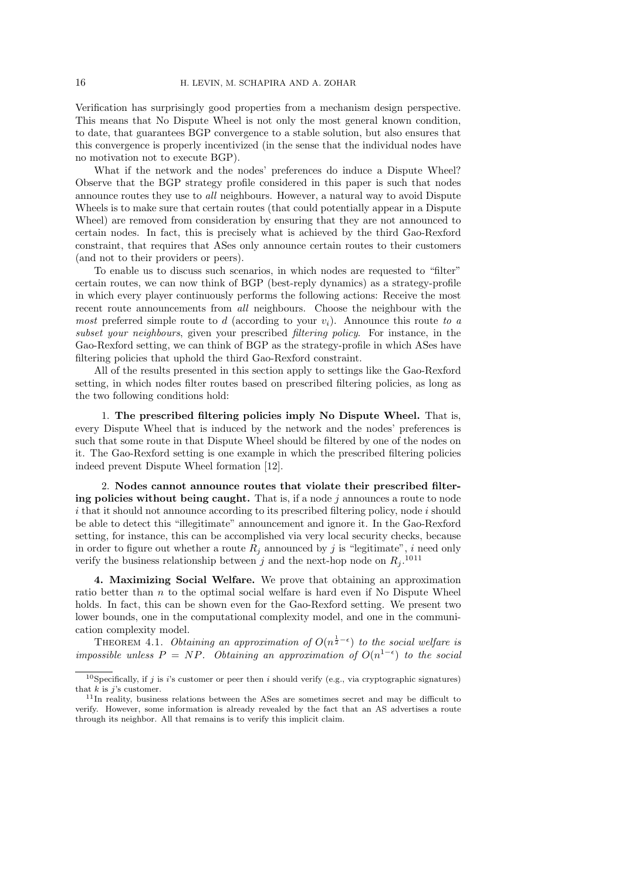Verification has surprisingly good properties from a mechanism design perspective. This means that No Dispute Wheel is not only the most general known condition, to date, that guarantees BGP convergence to a stable solution, but also ensures that this convergence is properly incentivized (in the sense that the individual nodes have no motivation not to execute BGP).

What if the network and the nodes' preferences do induce a Dispute Wheel? Observe that the BGP strategy profile considered in this paper is such that nodes announce routes they use to all neighbours. However, a natural way to avoid Dispute Wheels is to make sure that certain routes (that could potentially appear in a Dispute Wheel) are removed from consideration by ensuring that they are not announced to certain nodes. In fact, this is precisely what is achieved by the third Gao-Rexford constraint, that requires that ASes only announce certain routes to their customers (and not to their providers or peers).

To enable us to discuss such scenarios, in which nodes are requested to "filter" certain routes, we can now think of BGP (best-reply dynamics) as a strategy-profile in which every player continuously performs the following actions: Receive the most recent route announcements from all neighbours. Choose the neighbour with the *most* preferred simple route to d (according to your  $v_i$ ). Announce this route to a subset your neighbours, given your prescribed filtering policy. For instance, in the Gao-Rexford setting, we can think of BGP as the strategy-profile in which ASes have filtering policies that uphold the third Gao-Rexford constraint.

All of the results presented in this section apply to settings like the Gao-Rexford setting, in which nodes filter routes based on prescribed filtering policies, as long as the two following conditions hold:

1. The prescribed filtering policies imply No Dispute Wheel. That is, every Dispute Wheel that is induced by the network and the nodes' preferences is such that some route in that Dispute Wheel should be filtered by one of the nodes on it. The Gao-Rexford setting is one example in which the prescribed filtering policies indeed prevent Dispute Wheel formation [12].

2. Nodes cannot announce routes that violate their prescribed filtering policies without being caught. That is, if a node  $i$  announces a route to node  $i$  that it should not announce according to its prescribed filtering policy, node  $i$  should be able to detect this "illegitimate" announcement and ignore it. In the Gao-Rexford setting, for instance, this can be accomplished via very local security checks, because in order to figure out whether a route  $R_i$  announced by j is "legitimate", i need only verify the business relationship between j and the next-hop node on  $R_j$ .<sup>1011</sup>

4. Maximizing Social Welfare. We prove that obtaining an approximation ratio better than n to the optimal social welfare is hard even if No Dispute Wheel holds. In fact, this can be shown even for the Gao-Rexford setting. We present two lower bounds, one in the computational complexity model, and one in the communication complexity model.

THEOREM 4.1. Obtaining an approximation of  $O(n^{\frac{1}{2}-\epsilon})$  to the social welfare is impossible unless  $P = NP$ . Obtaining an approximation of  $O(n^{1-\epsilon})$  to the social

<sup>&</sup>lt;sup>10</sup>Specifically, if j is i's customer or peer then i should verify (e.g., via cryptographic signatures) that  $k$  is j's customer.

 $11$ In reality, business relations between the ASes are sometimes secret and may be difficult to verify. However, some information is already revealed by the fact that an AS advertises a route through its neighbor. All that remains is to verify this implicit claim.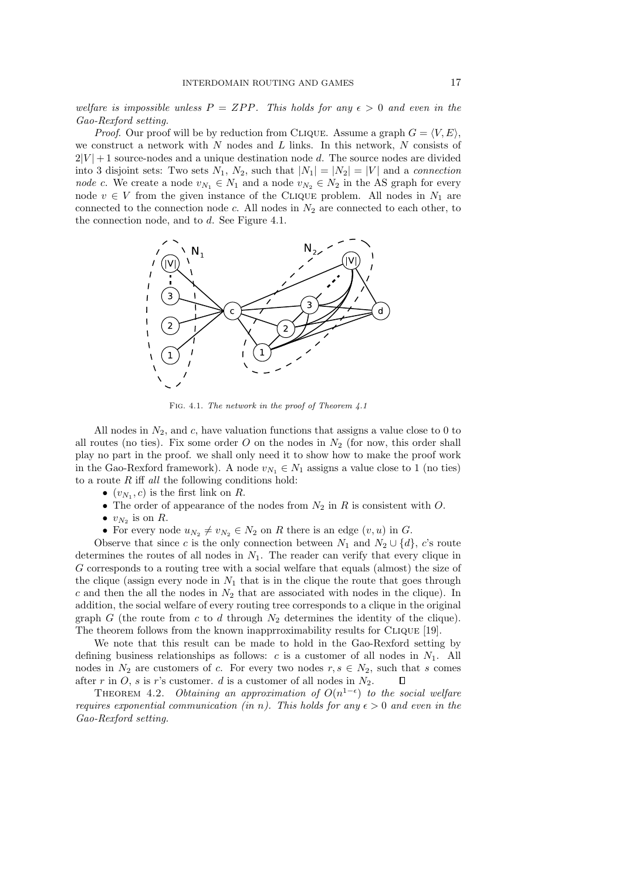welfare is impossible unless  $P = ZPP$ . This holds for any  $\epsilon > 0$  and even in the Gao-Rexford setting.

*Proof.* Our proof will be by reduction from CLIQUE. Assume a graph  $G = \langle V, E \rangle$ , we construct a network with  $N$  nodes and  $L$  links. In this network,  $N$  consists of  $2|V| + 1$  source-nodes and a unique destination node d. The source nodes are divided into 3 disjoint sets: Two sets  $N_1$ ,  $N_2$ , such that  $|N_1| = |N_2| = |V|$  and a *connection node c.* We create a node  $v_{N_1} \in N_1$  and a node  $v_{N_2} \in N_2$  in the AS graph for every node  $v \in V$  from the given instance of the CLIQUE problem. All nodes in  $N_1$  are connected to the connection node c. All nodes in  $N_2$  are connected to each other, to the connection node, and to d. See Figure 4.1.



Fig. 4.1. The network in the proof of Theorem 4.1

All nodes in  $N_2$ , and c, have valuation functions that assigns a value close to 0 to all routes (no ties). Fix some order O on the nodes in  $N_2$  (for now, this order shall play no part in the proof. we shall only need it to show how to make the proof work in the Gao-Rexford framework). A node  $v_{N_1} \in N_1$  assigns a value close to 1 (no ties) to a route  $R$  iff all the following conditions hold:

- $(v_{N_1}, c)$  is the first link on R.
- The order of appearance of the nodes from  $N_2$  in R is consistent with O.
- $v_{N_2}$  is on R.
- For every node  $u_{N_2} \neq v_{N_2} \in N_2$  on R there is an edge  $(v, u)$  in G.

Observe that since c is the only connection between  $N_1$  and  $N_2 \cup \{d\}$ , c's route determines the routes of all nodes in  $N_1$ . The reader can verify that every clique in G corresponds to a routing tree with a social welfare that equals (almost) the size of the clique (assign every node in  $N_1$  that is in the clique the route that goes through  $c$  and then the all the nodes in  $N_2$  that are associated with nodes in the clique). In addition, the social welfare of every routing tree corresponds to a clique in the original graph G (the route from c to d through  $N_2$  determines the identity of the clique). The theorem follows from the known inapprroximability results for Clique [19].

We note that this result can be made to hold in the Gao-Rexford setting by defining business relationships as follows: c is a customer of all nodes in  $N_1$ . All nodes in  $N_2$  are customers of c. For every two nodes  $r, s \in N_2$ , such that s comes after r in O, s is r's customer. d is a customer of all nodes in  $N_2$ .  $\Box$ 

THEOREM 4.2. Obtaining an approximation of  $O(n^{1-\epsilon})$  to the social welfare requires exponential communication (in n). This holds for any  $\epsilon > 0$  and even in the Gao-Rexford setting.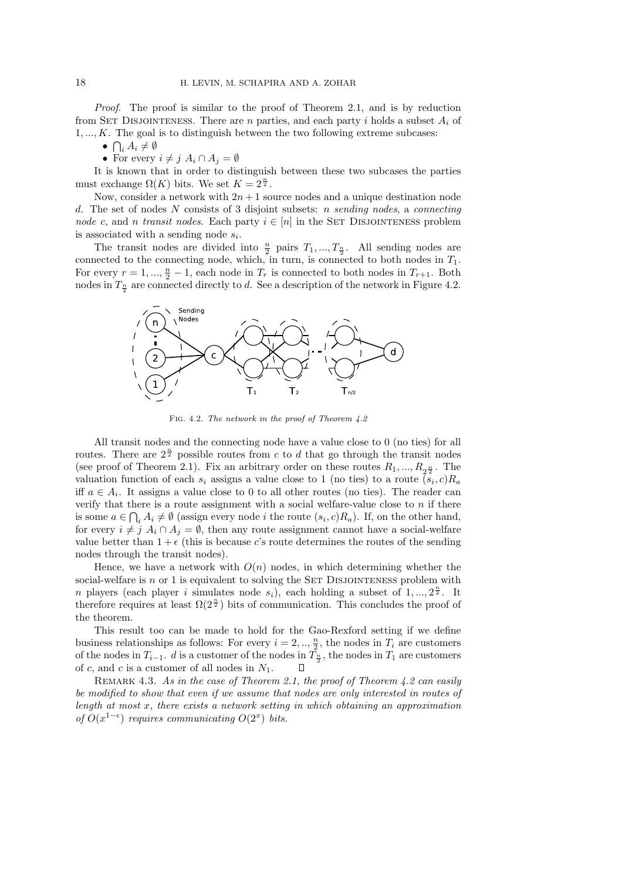Proof. The proof is similar to the proof of Theorem 2.1, and is by reduction from SET DISJOINTENESS. There are n parties, and each party i holds a subset  $A_i$  of 1, ...,  $K$ . The goal is to distinguish between the two following extreme subcases:

- $\bullet\ \bigcap_i A_i\neq\emptyset$
- For every  $i \neq j$   $A_i \cap A_j = \emptyset$

It is known that in order to distinguish between these two subcases the parties must exchange  $\Omega(K)$  bits. We set  $K = 2^{\frac{n}{2}}$ .

Now, consider a network with  $2n + 1$  source nodes and a unique destination node d. The set of nodes N consists of 3 disjoint subsets: n sending nodes, a connecting node c, and n transit nodes. Each party  $i \in [n]$  in the SET DISJOINTENESS problem is associated with a sending node  $s_i$ .

The transit nodes are divided into  $\frac{n}{2}$  pairs  $T_1, ..., T_{\frac{n}{2}}$ . All sending nodes are connected to the connecting node, which, in turn, is connected to both nodes in  $T_1$ . For every  $r = 1, ..., \frac{n}{2} - 1$ , each node in  $T_r$  is connected to both nodes in  $T_{r+1}$ . Both nodes in  $T_{\frac{n}{2}}$  are connected directly to d. See a description of the network in Figure 4.2.



Fig. 4.2. The network in the proof of Theorem 4.2

All transit nodes and the connecting node have a value close to 0 (no ties) for all routes. There are  $2^{\frac{n}{2}}$  possible routes from c to d that go through the transit nodes (see proof of Theorem 2.1). Fix an arbitrary order on these routes  $R_1, ..., R_{2^{\frac{n}{2}}}$ . The valuation function of each  $s_i$  assigns a value close to 1 (no ties) to a route  $(s_i, c)R_a$ iff  $a \in A_i$ . It assigns a value close to 0 to all other routes (no ties). The reader can verify that there is a route assignment with a social welfare-value close to n if there is some  $a \in \bigcap_i A_i \neq \emptyset$  (assign every node i the route  $(s_i, c)R_a$ ). If, on the other hand, for every  $i \neq j$   $A_i \cap A_j = \emptyset$ , then any route assignment cannot have a social-welfare value better than  $1 + \epsilon$  (this is because c's route determines the routes of the sending nodes through the transit nodes).

Hence, we have a network with  $O(n)$  nodes, in which determining whether the social-welfare is  $n$  or 1 is equivalent to solving the SET DISJOINTENESS problem with *n* players (each player *i* simulates node  $s_i$ ), each holding a subset of 1, ...,  $2^{\frac{n}{2}}$ . It therefore requires at least  $\Omega(2^{\frac{n}{2}})$  bits of communication. This concludes the proof of the theorem.

This result too can be made to hold for the Gao-Rexford setting if we define business relationships as follows: For every  $i = 2, \ldots, \frac{n}{2}$ , the nodes in  $T_i$  are customers of the nodes in  $T_{i-1}$ . *d* is a customer of the nodes in  $T_{\frac{n}{2}}$ , the nodes in  $T_1$  are customers of c, and c is a customer of all nodes in  $N_1$ . □

REMARK 4.3. As in the case of Theorem 2.1, the proof of Theorem 4.2 can easily be modified to show that even if we assume that nodes are only interested in routes of length at most x, there exists a network setting in which obtaining an approximation of  $O(x^{1-\epsilon})$  requires communicating  $O(2^x)$  bits.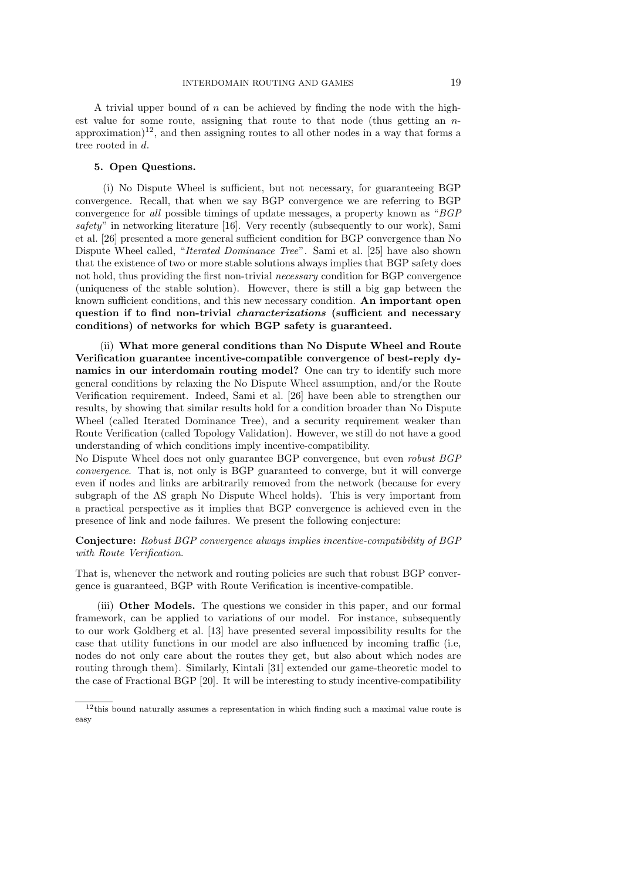A trivial upper bound of  $n$  can be achieved by finding the node with the highest value for some route, assigning that route to that node (thus getting an  $n$ approximation)<sup>12</sup>, and then assigning routes to all other nodes in a way that forms a tree rooted in d.

## 5. Open Questions.

(i) No Dispute Wheel is sufficient, but not necessary, for guaranteeing BGP convergence. Recall, that when we say BGP convergence we are referring to BGP convergence for all possible timings of update messages, a property known as "BGP safety" in networking literature [16]. Very recently (subsequently to our work), Sami et al. [26] presented a more general sufficient condition for BGP convergence than No Dispute Wheel called, "Iterated Dominance Tree". Sami et al. [25] have also shown that the existence of two or more stable solutions always implies that BGP safety does not hold, thus providing the first non-trivial necessary condition for BGP convergence (uniqueness of the stable solution). However, there is still a big gap between the known sufficient conditions, and this new necessary condition. An important open question if to find non-trivial characterizations (sufficient and necessary conditions) of networks for which BGP safety is guaranteed.

(ii) What more general conditions than No Dispute Wheel and Route Verification guarantee incentive-compatible convergence of best-reply dynamics in our interdomain routing model? One can try to identify such more general conditions by relaxing the No Dispute Wheel assumption, and/or the Route Verification requirement. Indeed, Sami et al. [26] have been able to strengthen our results, by showing that similar results hold for a condition broader than No Dispute Wheel (called Iterated Dominance Tree), and a security requirement weaker than Route Verification (called Topology Validation). However, we still do not have a good understanding of which conditions imply incentive-compatibility.

No Dispute Wheel does not only guarantee BGP convergence, but even robust BGP convergence. That is, not only is BGP guaranteed to converge, but it will converge even if nodes and links are arbitrarily removed from the network (because for every subgraph of the AS graph No Dispute Wheel holds). This is very important from a practical perspective as it implies that BGP convergence is achieved even in the presence of link and node failures. We present the following conjecture:

Conjecture: Robust BGP convergence always implies incentive-compatibility of BGP with Route Verification.

That is, whenever the network and routing policies are such that robust BGP convergence is guaranteed, BGP with Route Verification is incentive-compatible.

(iii) Other Models. The questions we consider in this paper, and our formal framework, can be applied to variations of our model. For instance, subsequently to our work Goldberg et al. [13] have presented several impossibility results for the case that utility functions in our model are also influenced by incoming traffic (i.e, nodes do not only care about the routes they get, but also about which nodes are routing through them). Similarly, Kintali [31] extended our game-theoretic model to the case of Fractional BGP [20]. It will be interesting to study incentive-compatibility

 $12$ <sup>this</sup> bound naturally assumes a representation in which finding such a maximal value route is easy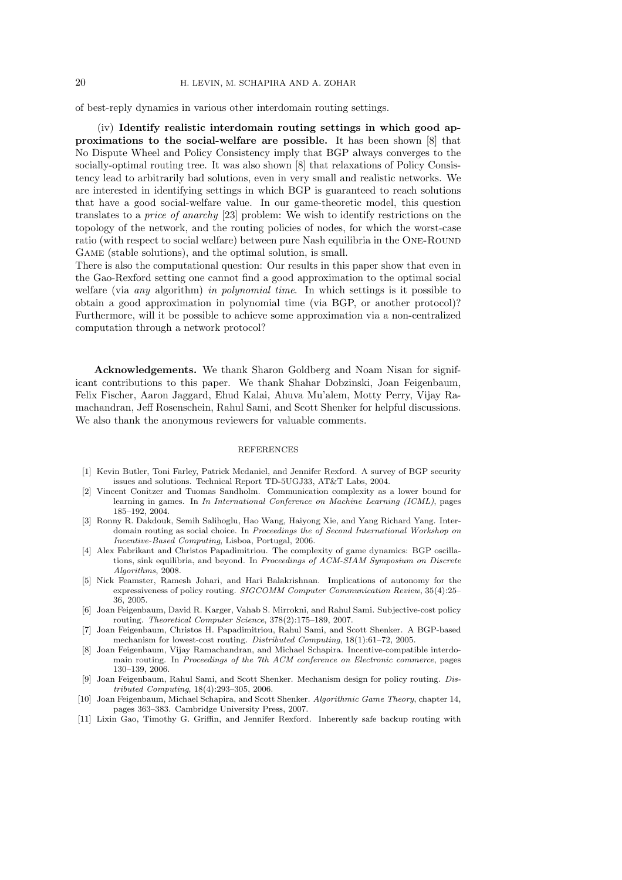of best-reply dynamics in various other interdomain routing settings.

(iv) Identify realistic interdomain routing settings in which good approximations to the social-welfare are possible. It has been shown [8] that No Dispute Wheel and Policy Consistency imply that BGP always converges to the socially-optimal routing tree. It was also shown [8] that relaxations of Policy Consistency lead to arbitrarily bad solutions, even in very small and realistic networks. We are interested in identifying settings in which BGP is guaranteed to reach solutions that have a good social-welfare value. In our game-theoretic model, this question translates to a price of anarchy [23] problem: We wish to identify restrictions on the topology of the network, and the routing policies of nodes, for which the worst-case ratio (with respect to social welfare) between pure Nash equilibria in the One-Round Game (stable solutions), and the optimal solution, is small.

There is also the computational question: Our results in this paper show that even in the Gao-Rexford setting one cannot find a good approximation to the optimal social welfare (via any algorithm) in polynomial time. In which settings is it possible to obtain a good approximation in polynomial time (via BGP, or another protocol)? Furthermore, will it be possible to achieve some approximation via a non-centralized computation through a network protocol?

Acknowledgements. We thank Sharon Goldberg and Noam Nisan for significant contributions to this paper. We thank Shahar Dobzinski, Joan Feigenbaum, Felix Fischer, Aaron Jaggard, Ehud Kalai, Ahuva Mu'alem, Motty Perry, Vijay Ramachandran, Jeff Rosenschein, Rahul Sami, and Scott Shenker for helpful discussions. We also thank the anonymous reviewers for valuable comments.

#### REFERENCES

- [1] Kevin Butler, Toni Farley, Patrick Mcdaniel, and Jennifer Rexford. A survey of BGP security issues and solutions. Technical Report TD-5UGJ33, AT&T Labs, 2004.
- [2] Vincent Conitzer and Tuomas Sandholm. Communication complexity as a lower bound for learning in games. In In International Conference on Machine Learning (ICML), pages 185–192, 2004.
- [3] Ronny R. Dakdouk, Semih Salihoglu, Hao Wang, Haiyong Xie, and Yang Richard Yang. Interdomain routing as social choice. In Proceedings the of Second International Workshop on Incentive-Based Computing, Lisboa, Portugal, 2006.
- [4] Alex Fabrikant and Christos Papadimitriou. The complexity of game dynamics: BGP oscillations, sink equilibria, and beyond. In Proceedings of ACM-SIAM Symposium on Discrete Algorithms, 2008.
- [5] Nick Feamster, Ramesh Johari, and Hari Balakrishnan. Implications of autonomy for the expressiveness of policy routing. SIGCOMM Computer Communication Review, 35(4):25– 36, 2005.
- [6] Joan Feigenbaum, David R. Karger, Vahab S. Mirrokni, and Rahul Sami. Subjective-cost policy routing. Theoretical Computer Science, 378(2):175–189, 2007.
- [7] Joan Feigenbaum, Christos H. Papadimitriou, Rahul Sami, and Scott Shenker. A BGP-based mechanism for lowest-cost routing. Distributed Computing, 18(1):61–72, 2005.
- [8] Joan Feigenbaum, Vijay Ramachandran, and Michael Schapira. Incentive-compatible interdomain routing. In Proceedings of the 7th ACM conference on Electronic commerce, pages 130–139, 2006.
- [9] Joan Feigenbaum, Rahul Sami, and Scott Shenker. Mechanism design for policy routing. Distributed Computing, 18(4):293–305, 2006.
- [10] Joan Feigenbaum, Michael Schapira, and Scott Shenker. Algorithmic Game Theory, chapter 14, pages 363–383. Cambridge University Press, 2007.
- [11] Lixin Gao, Timothy G. Griffin, and Jennifer Rexford. Inherently safe backup routing with